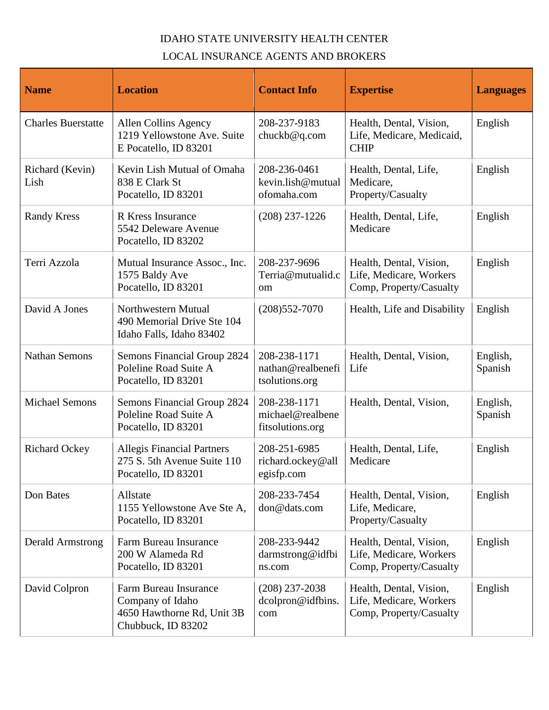## IDAHO STATE UNIVERSITY HEALTH CENTER LOCAL INSURANCE AGENTS AND BROKERS

| <b>Name</b>               | <b>Location</b>                                                                               | <b>Contact Info</b>                                  | <b>Expertise</b>                                                              | <b>Languages</b>    |
|---------------------------|-----------------------------------------------------------------------------------------------|------------------------------------------------------|-------------------------------------------------------------------------------|---------------------|
| <b>Charles Buerstatte</b> | Allen Collins Agency<br>1219 Yellowstone Ave. Suite<br>E Pocatello, ID 83201                  | 208-237-9183<br>chuckb@q.com                         | Health, Dental, Vision,<br>Life, Medicare, Medicaid,<br><b>CHIP</b>           | English             |
| Richard (Kevin)<br>Lish   | Kevin Lish Mutual of Omaha<br>838 E Clark St<br>Pocatello, ID 83201                           | 208-236-0461<br>kevin.lish@mutual<br>ofomaha.com     | Health, Dental, Life,<br>Medicare,<br>Property/Casualty                       | English             |
| <b>Randy Kress</b>        | R Kress Insurance<br>5542 Deleware Avenue<br>Pocatello, ID 83202                              | $(208)$ 237-1226                                     | Health, Dental, Life,<br>Medicare                                             | English             |
| Terri Azzola              | Mutual Insurance Assoc., Inc.<br>1575 Baldy Ave<br>Pocatello, ID 83201                        | 208-237-9696<br>Terria@mutualid.c<br>om              | Health, Dental, Vision,<br>Life, Medicare, Workers<br>Comp, Property/Casualty | English             |
| David A Jones             | Northwestern Mutual<br>490 Memorial Drive Ste 104<br>Idaho Falls, Idaho 83402                 | $(208)552-7070$                                      | Health, Life and Disability                                                   | English             |
| <b>Nathan Semons</b>      | Semons Financial Group 2824<br>Poleline Road Suite A<br>Pocatello, ID 83201                   | 208-238-1171<br>nathan@realbenefi<br>tsolutions.org  | Health, Dental, Vision,<br>Life                                               | English,<br>Spanish |
| <b>Michael Semons</b>     | <b>Semons Financial Group 2824</b><br>Poleline Road Suite A<br>Pocatello, ID 83201            | 208-238-1171<br>michael@realbene<br>fitsolutions.org | Health, Dental, Vision,                                                       | English,<br>Spanish |
| <b>Richard Ockey</b>      | <b>Allegis Financial Partners</b><br>275 S. 5th Avenue Suite 110<br>Pocatello, ID 83201       | 208-251-6985<br>richard.ockey@all<br>egisfp.com      | Health, Dental, Life,<br>Medicare                                             | English             |
| Don Bates                 | Allstate<br>1155 Yellowstone Ave Ste A,<br>Pocatello, ID 83201                                | 208-233-7454<br>don@dats.com                         | Health, Dental, Vision,<br>Life, Medicare,<br>Property/Casualty               | English             |
| <b>Derald Armstrong</b>   | Farm Bureau Insurance<br>200 W Alameda Rd<br>Pocatello, ID 83201                              | 208-233-9442<br>darmstrong@idfbi<br>ns.com           | Health, Dental, Vision,<br>Life, Medicare, Workers<br>Comp, Property/Casualty | English             |
| David Colpron             | Farm Bureau Insurance<br>Company of Idaho<br>4650 Hawthorne Rd, Unit 3B<br>Chubbuck, ID 83202 | $(208)$ 237-2038<br>dcolpron@idfbins.<br>com         | Health, Dental, Vision,<br>Life, Medicare, Workers<br>Comp, Property/Casualty | English             |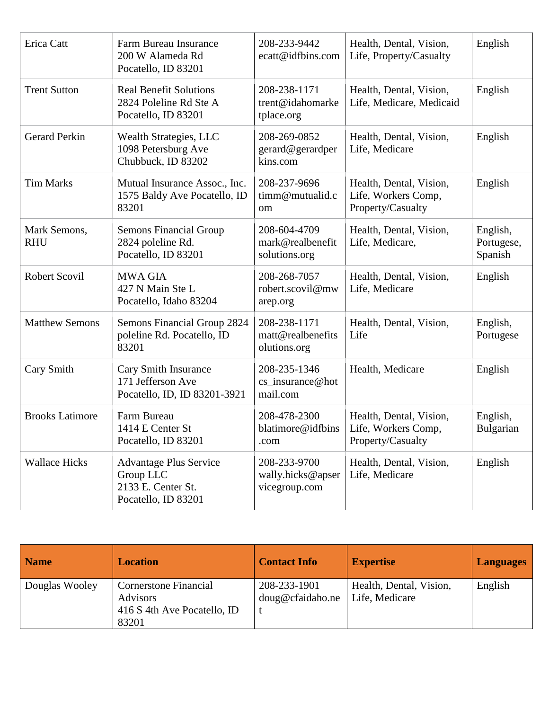| Erica Catt                 | Farm Bureau Insurance<br>200 W Alameda Rd<br>Pocatello, ID 83201                        | 208-233-9442<br>ecatt@idfbins.com                  | Health, Dental, Vision,<br>Life, Property/Casualty                  | English                           |
|----------------------------|-----------------------------------------------------------------------------------------|----------------------------------------------------|---------------------------------------------------------------------|-----------------------------------|
| <b>Trent Sutton</b>        | <b>Real Benefit Solutions</b><br>2824 Poleline Rd Ste A<br>Pocatello, ID 83201          | 208-238-1171<br>trent@idahomarke<br>tplace.org     | Health, Dental, Vision,<br>Life, Medicare, Medicaid                 | English                           |
| <b>Gerard Perkin</b>       | <b>Wealth Strategies, LLC</b><br>1098 Petersburg Ave<br>Chubbuck, ID 83202              | 208-269-0852<br>gerard@gerardper<br>kins.com       | Health, Dental, Vision,<br>Life, Medicare                           | English                           |
| <b>Tim Marks</b>           | Mutual Insurance Assoc., Inc.<br>1575 Baldy Ave Pocatello, ID<br>83201                  | 208-237-9696<br>timm@mutualid.c<br>om              | Health, Dental, Vision,<br>Life, Workers Comp,<br>Property/Casualty | English                           |
| Mark Semons,<br><b>RHU</b> | <b>Semons Financial Group</b><br>2824 poleline Rd.<br>Pocatello, ID 83201               | 208-604-4709<br>mark@realbenefit<br>solutions.org  | Health, Dental, Vision,<br>Life, Medicare,                          | English,<br>Portugese,<br>Spanish |
| <b>Robert Scovil</b>       | <b>MWA GIA</b><br>427 N Main Ste L<br>Pocatello, Idaho 83204                            | 208-268-7057<br>robert.scovil@mw<br>arep.org       | Health, Dental, Vision,<br>Life, Medicare                           | English                           |
| <b>Matthew Semons</b>      | Semons Financial Group 2824<br>poleline Rd. Pocatello, ID<br>83201                      | 208-238-1171<br>matt@realbenefits<br>olutions.org  | Health, Dental, Vision,<br>Life                                     | English,<br>Portugese             |
| Cary Smith                 | Cary Smith Insurance<br>171 Jefferson Ave<br>Pocatello, ID, ID 83201-3921               | 208-235-1346<br>cs_insurance@hot<br>mail.com       | Health, Medicare                                                    | English                           |
| <b>Brooks Latimore</b>     | Farm Bureau<br>1414 E Center St<br>Pocatello, ID 83201                                  | 208-478-2300<br>blatimore@idfbins<br>.com          | Health, Dental, Vision,<br>Life, Workers Comp,<br>Property/Casualty | English,<br>Bulgarian             |
| <b>Wallace Hicks</b>       | <b>Advantage Plus Service</b><br>Group LLC<br>2133 E. Center St.<br>Pocatello, ID 83201 | 208-233-9700<br>wally.hicks@apser<br>vicegroup.com | Health, Dental, Vision,<br>Life, Medicare                           | English                           |

| <b>Name</b>    | <b>Location</b>              | <b>Contact Info</b> | <b>Expertise</b>        | <b>Languages</b> |
|----------------|------------------------------|---------------------|-------------------------|------------------|
| Douglas Wooley | <b>Cornerstone Financial</b> | 208-233-1901        | Health, Dental, Vision, | English          |
|                | <b>Advisors</b>              | doug@cfaidaho.ne    | Life, Medicare          |                  |
|                | 416 S 4th Ave Pocatello, ID  |                     |                         |                  |
|                | 83201                        |                     |                         |                  |